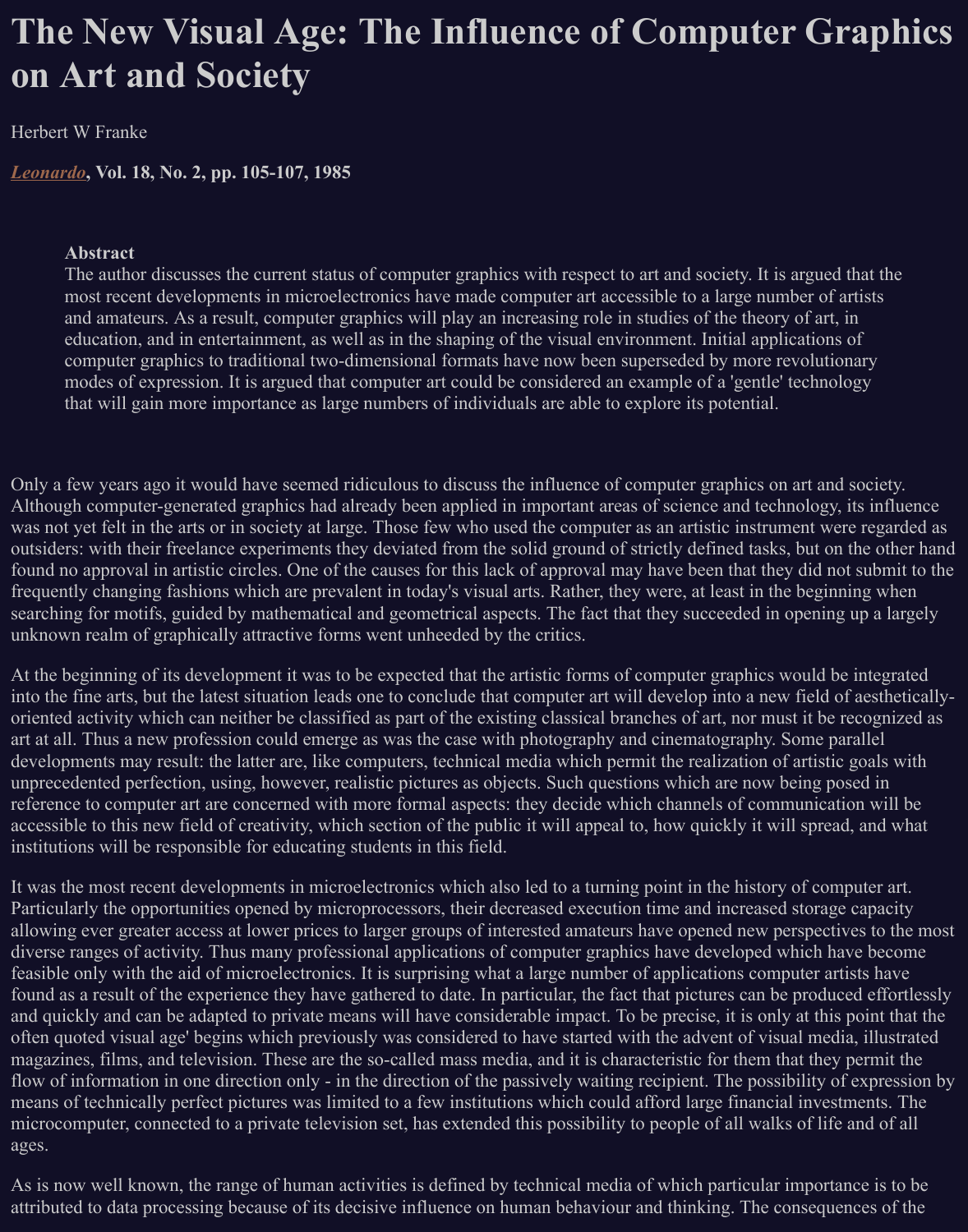## **The New Visual Age: The Influence of Computer Graphics on Art and Society**

Herbert W Franke

*[Leonardo](http://mitpress2.mit.edu/e-journals/Leonardo/home.html)***, Vol. 18, No. 2, pp. 105-107, 1985**

## **Abstract**

The author discusses the current status of computer graphics with respect to art and society. It is argued that the most recent developments in microelectronics have made computer art accessible to a large number of artists and amateurs. As a result, computer graphics will play an increasing role in studies of the theory of art, in education, and in entertainment, as well as in the shaping of the visual environment. Initial applications of computer graphics to traditional two-dimensional formats have now been superseded by more revolutionary modes of expression. It is argued that computer art could be considered an example of a 'gentle' technology that will gain more importance as large numbers of individuals are able to explore its potential.

Only a few years ago it would have seemed ridiculous to discuss the influence of computer graphics on art and society. Although computer-generated graphics had already been applied in important areas of science and technology, its influence was not yet felt in the arts or in society at large. Those few who used the computer as an artistic instrument were regarded as outsiders: with their freelance experiments they deviated from the solid ground of strictly defined tasks, but on the other hand found no approval in artistic circles. One of the causes for this lack of approval may have been that they did not submit to the frequently changing fashions which are prevalent in today's visual arts. Rather, they were, at least in the beginning when searching for motifs, guided by mathematical and geometrical aspects. The fact that they succeeded in opening up a largely unknown realm of graphically attractive forms went unheeded by the critics.

At the beginning of its development it was to be expected that the artistic forms of computer graphics would be integrated into the fine arts, but the latest situation leads one to conclude that computer art will develop into a new field of aestheticallyoriented activity which can neither be classified as part of the existing classical branches of art, nor must it be recognized as art at all. Thus a new profession could emerge as was the case with photography and cinematography. Some parallel developments may result: the latter are, like computers, technical media which permit the realization of artistic goals with unprecedented perfection, using, however, realistic pictures as objects. Such questions which are now being posed in reference to computer art are concerned with more formal aspects: they decide which channels of communication will be accessible to this new field of creativity, which section of the public it will appeal to, how quickly it will spread, and what institutions will be responsible for educating students in this field.

It was the most recent developments in microelectronics which also led to a turning point in the history of computer art. Particularly the opportunities opened by microprocessors, their decreased execution time and increased storage capacity allowing ever greater access at lower prices to larger groups of interested amateurs have opened new perspectives to the most diverse ranges of activity. Thus many professional applications of computer graphics have developed which have become feasible only with the aid of microelectronics. It is surprising what a large number of applications computer artists have found as a result of the experience they have gathered to date. In particular, the fact that pictures can be produced effortlessly and quickly and can be adapted to private means will have considerable impact. To be precise, it is only at this point that the often quoted visual age' begins which previously was considered to have started with the advent of visual media, illustrated magazines, films, and television. These are the so-called mass media, and it is characteristic for them that they permit the flow of information in one direction only - in the direction of the passively waiting recipient. The possibility of expression by means of technically perfect pictures was limited to a few institutions which could afford large financial investments. The microcomputer, connected to a private television set, has extended this possibility to people of all walks of life and of all ages.

As is now well known, the range of human activities is defined by technical media of which particular importance is to be attributed to data processing because of its decisive influence on human behaviour and thinking. The consequences of the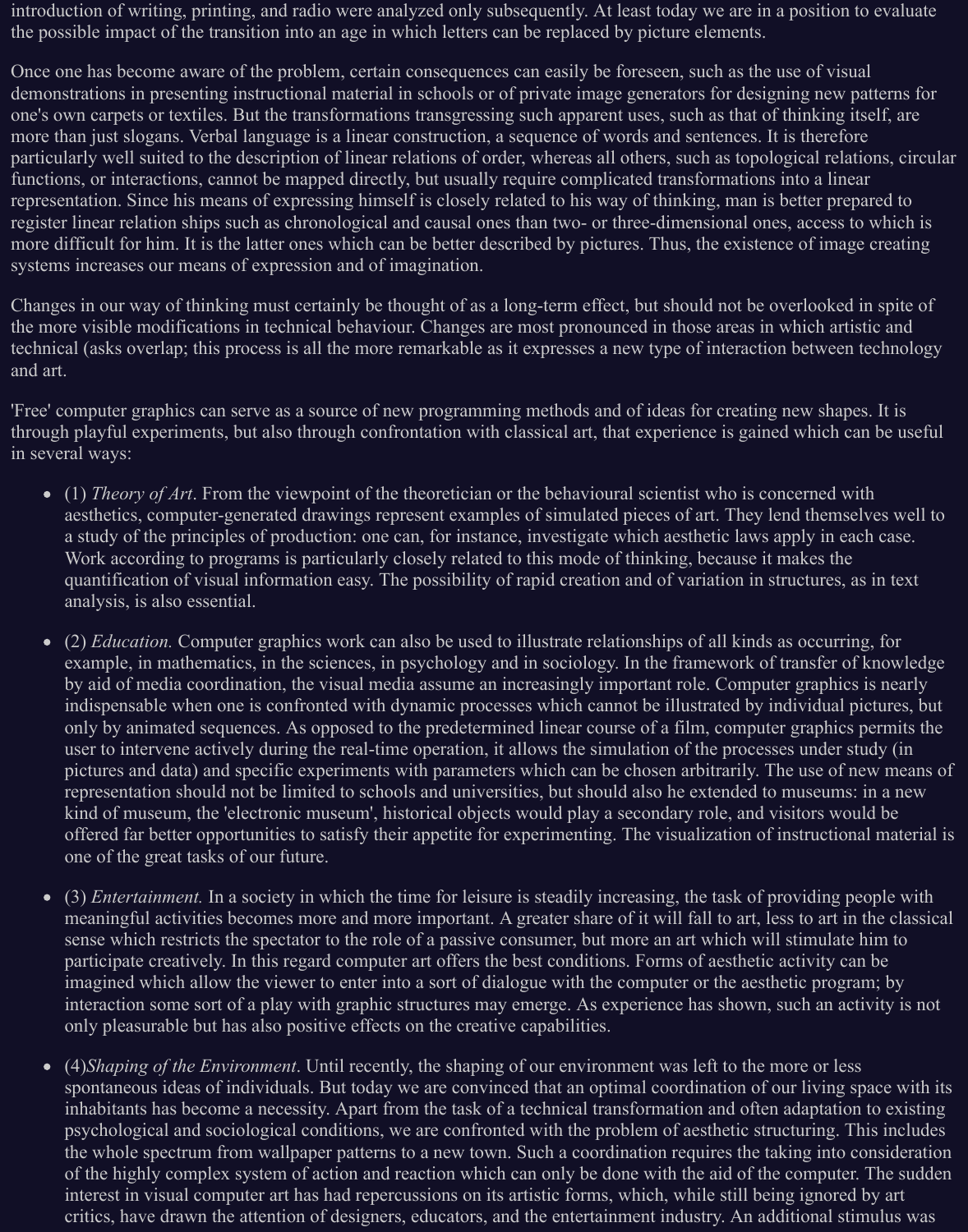introduction of writing, printing, and radio were analyzed only subsequently. At least today we are in a position to evaluate the possible impact of the transition into an age in which letters can be replaced by picture elements.

Once one has become aware of the problem, certain consequences can easily be foreseen, such as the use of visual demonstrations in presenting instructional material in schools or of private image generators for designing new patterns for one's own carpets or textiles. But the transformations transgressing such apparent uses, such as that of thinking itself, are more than just slogans. Verbal language is a linear construction, a sequence of words and sentences. It is therefore particularly well suited to the description of linear relations of order, whereas all others, such as topological relations, circular functions, or interactions, cannot be mapped directly, but usually require complicated transformations into a linear representation. Since his means of expressing himself is closely related to his way of thinking, man is better prepared to register linear relation ships such as chronological and causal ones than two- or three-dimensional ones, access to which is more difficult for him. It is the latter ones which can be better described by pictures. Thus, the existence of image creating systems increases our means of expression and of imagination.

Changes in our way of thinking must certainly be thought of as a long-term effect, but should not be overlooked in spite of the more visible modifications in technical behaviour. Changes are most pronounced in those areas in which artistic and technical (asks overlap; this process is all the more remarkable as it expresses a new type of interaction between technology and art.

'Free' computer graphics can serve as a source of new programming methods and of ideas for creating new shapes. It is through playful experiments, but also through confrontation with classical art, that experience is gained which can be useful in several ways:

- (1) *Theory of Art*. From the viewpoint of the theoretician or the behavioural scientist who is concerned with aesthetics, computer-generated drawings represent examples of simulated pieces of art. They lend themselves well to a study of the principles of production: one can, for instance, investigate which aesthetic laws apply in each case. Work according to programs is particularly closely related to this mode of thinking, because it makes the quantification of visual information easy. The possibility of rapid creation and of variation in structures, as in text analysis, is also essential.
- (2) *Education.* Computer graphics work can also be used to illustrate relationships of all kinds as occurring, for example, in mathematics, in the sciences, in psychology and in sociology. In the framework of transfer of knowledge by aid of media coordination, the visual media assume an increasingly important role. Computer graphics is nearly indispensable when one is confronted with dynamic processes which cannot be illustrated by individual pictures, but only by animated sequences. As opposed to the predetermined linear course of a film, computer graphics permits the user to intervene actively during the real-time operation, it allows the simulation of the processes under study (in pictures and data) and specific experiments with parameters which can be chosen arbitrarily. The use of new means of representation should not be limited to schools and universities, but should also he extended to museums: in a new kind of museum, the 'electronic museum', historical objects would play a secondary role, and visitors would be offered far better opportunities to satisfy their appetite for experimenting. The visualization of instructional material is one of the great tasks of our future.
- (3) *Entertainment.* In a society in which the time for leisure is steadily increasing, the task of providing people with meaningful activities becomes more and more important. A greater share of it will fall to art, less to art in the classical sense which restricts the spectator to the role of a passive consumer, but more an art which will stimulate him to participate creatively. In this regard computer art offers the best conditions. Forms of aesthetic activity can be imagined which allow the viewer to enter into a sort of dialogue with the computer or the aesthetic program; by interaction some sort of a play with graphic structures may emerge. As experience has shown, such an activity is not only pleasurable but has also positive effects on the creative capabilities.
- (4)*Shaping of the Environment*. Until recently, the shaping of our environment was left to the more or less spontaneous ideas of individuals. But today we are convinced that an optimal coordination of our living space with its inhabitants has become a necessity. Apart from the task of a technical transformation and often adaptation to existing psychological and sociological conditions, we are confronted with the problem of aesthetic structuring. This includes the whole spectrum from wallpaper patterns to a new town. Such a coordination requires the taking into consideration of the highly complex system of action and reaction which can only be done with the aid of the computer. The sudden interest in visual computer art has had repercussions on its artistic forms, which, while still being ignored by art critics, have drawn the attention of designers, educators, and the entertainment industry. An additional stimulus was